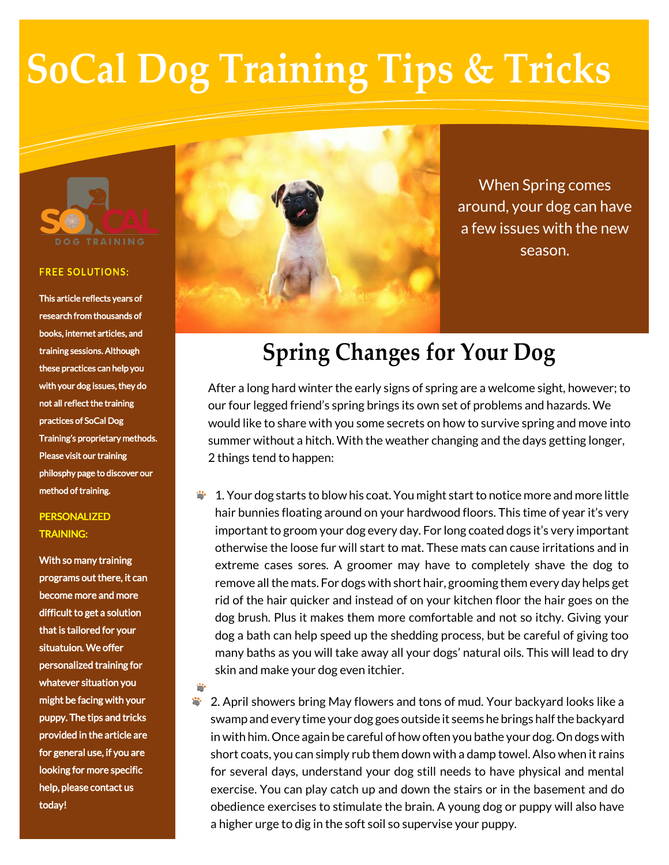# **SoCal Dog Training Tips & Tricks**



#### **FREE SOLUTIONS:**

This article reflects years of research from thousands of books, internet articles, and training sessions. Although these practices can help you with your dog issues, they do not all reflect the training practices of SoCal Dog Training's proprietary methods. Please visit our training philosphy page to discover our method of training.

### PERSONALIZED TRAINING:

With so many training programs out there, it can become more and more difficult to get a solution that is tailored for your situatuion. We offer personalized training for whatever situation you might be facing with your puppy. The tips and tricks provided in the article are for general use, if you are looking for more specific help, please contact us today!



When Spring comes around, your dog can have a few issues with the new season.

## **Spring Changes for Your Dog**

After a long hard winter the early signs of spring are a welcome sight, however; to our four legged friend's spring brings its own set of problems and hazards. We would like to share with you some secrets on how to survive spring and move into summer without a hitch. With the weather changing and the days getting longer, 2 things tend to happen:

1. Your dog starts to blow his coat. You might start to notice more and more little hair bunnies floating around on your hardwood floors. This time of year it's very important to groom your dog every day. For long coated dogs it's very important otherwise the loose fur will start to mat. These mats can cause irritations and in extreme cases sores. A groomer may have to completely shave the dog to remove all the mats. For dogs with short hair, grooming them every day helps get rid of the hair quicker and instead of on your kitchen floor the hair goes on the dog brush. Plus it makes them more comfortable and not so itchy. Giving your dog a bath can help speed up the shedding process, but be careful of giving too many baths as you will take away all your dogs' natural oils. This will lead to dry skin and make your dog even itchier.

 $\overline{\phantom{a}}$ 2. April showers bring May flowers and tons of mud. Your backyard looks like a swamp and every time your dog goes outside it seems he brings half the backyard in with him. Once again be careful of how often you bathe your dog. On dogs with short coats, you can simply rub them down with a damp towel. Also when it rains for several days, understand your dog still needs to have physical and mental exercise. You can play catch up and down the stairs or in the basement and do obedience exercises to stimulate the brain. A young dog or puppy will also have a higher urge to dig in the soft soil so supervise your puppy.